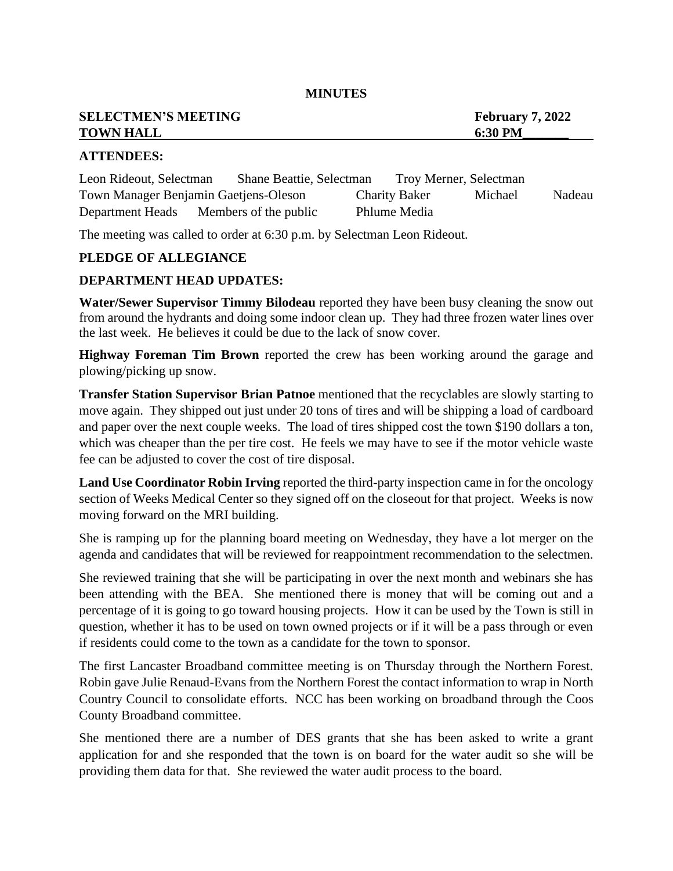# **SELECTMEN'S MEETING February 7, 2022 TOWN HALL** 6:30 **PM**

### **ATTENDEES:**

Leon Rideout, Selectman Shane Beattie, Selectman Troy Merner, Selectman Town Manager Benjamin Gaetjens-Oleson Charity Baker Michael Nadeau Department Heads Members of the public Phlume Media

The meeting was called to order at 6:30 p.m. by Selectman Leon Rideout.

# **PLEDGE OF ALLEGIANCE**

# **DEPARTMENT HEAD UPDATES:**

**Water/Sewer Supervisor Timmy Bilodeau** reported they have been busy cleaning the snow out from around the hydrants and doing some indoor clean up. They had three frozen water lines over the last week. He believes it could be due to the lack of snow cover.

**Highway Foreman Tim Brown** reported the crew has been working around the garage and plowing/picking up snow.

**Transfer Station Supervisor Brian Patnoe** mentioned that the recyclables are slowly starting to move again. They shipped out just under 20 tons of tires and will be shipping a load of cardboard and paper over the next couple weeks. The load of tires shipped cost the town \$190 dollars a ton, which was cheaper than the per tire cost. He feels we may have to see if the motor vehicle waste fee can be adjusted to cover the cost of tire disposal.

**Land Use Coordinator Robin Irving** reported the third-party inspection came in for the oncology section of Weeks Medical Center so they signed off on the closeout for that project. Weeks is now moving forward on the MRI building.

She is ramping up for the planning board meeting on Wednesday, they have a lot merger on the agenda and candidates that will be reviewed for reappointment recommendation to the selectmen.

She reviewed training that she will be participating in over the next month and webinars she has been attending with the BEA. She mentioned there is money that will be coming out and a percentage of it is going to go toward housing projects. How it can be used by the Town is still in question, whether it has to be used on town owned projects or if it will be a pass through or even if residents could come to the town as a candidate for the town to sponsor.

The first Lancaster Broadband committee meeting is on Thursday through the Northern Forest. Robin gave Julie Renaud-Evans from the Northern Forest the contact information to wrap in North Country Council to consolidate efforts. NCC has been working on broadband through the Coos County Broadband committee.

She mentioned there are a number of DES grants that she has been asked to write a grant application for and she responded that the town is on board for the water audit so she will be providing them data for that. She reviewed the water audit process to the board.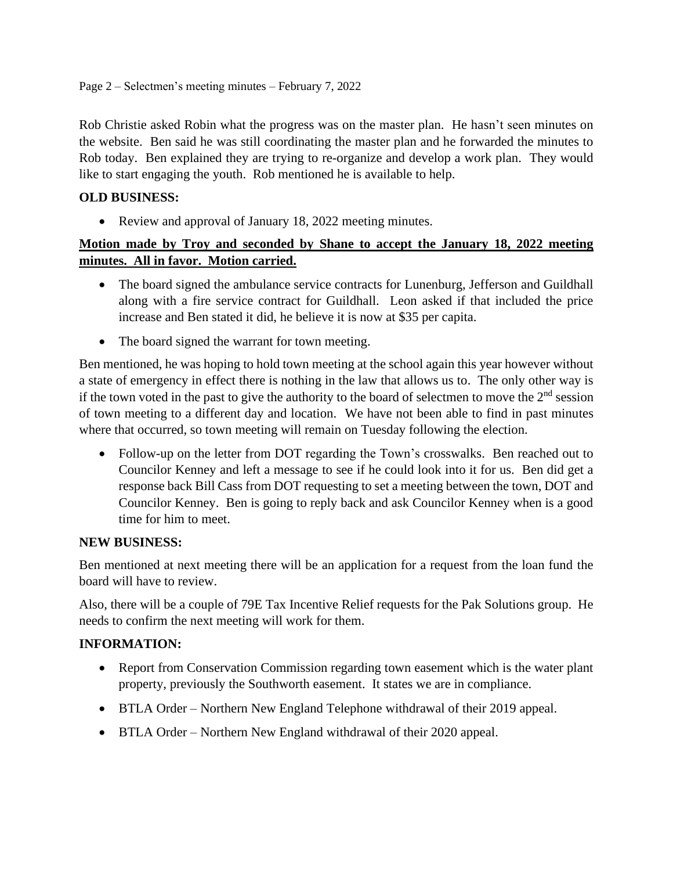Rob Christie asked Robin what the progress was on the master plan. He hasn't seen minutes on the website. Ben said he was still coordinating the master plan and he forwarded the minutes to Rob today. Ben explained they are trying to re-organize and develop a work plan. They would like to start engaging the youth. Rob mentioned he is available to help.

# **OLD BUSINESS:**

• Review and approval of January 18, 2022 meeting minutes.

# **Motion made by Troy and seconded by Shane to accept the January 18, 2022 meeting minutes. All in favor. Motion carried.**

- The board signed the ambulance service contracts for Lunenburg, Jefferson and Guildhall along with a fire service contract for Guildhall. Leon asked if that included the price increase and Ben stated it did, he believe it is now at \$35 per capita.
- The board signed the warrant for town meeting.

Ben mentioned, he was hoping to hold town meeting at the school again this year however without a state of emergency in effect there is nothing in the law that allows us to. The only other way is if the town voted in the past to give the authority to the board of selectmen to move the  $2<sup>nd</sup>$  session of town meeting to a different day and location. We have not been able to find in past minutes where that occurred, so town meeting will remain on Tuesday following the election.

• Follow-up on the letter from DOT regarding the Town's crosswalks. Ben reached out to Councilor Kenney and left a message to see if he could look into it for us. Ben did get a response back Bill Cass from DOT requesting to set a meeting between the town, DOT and Councilor Kenney. Ben is going to reply back and ask Councilor Kenney when is a good time for him to meet.

# **NEW BUSINESS:**

Ben mentioned at next meeting there will be an application for a request from the loan fund the board will have to review.

Also, there will be a couple of 79E Tax Incentive Relief requests for the Pak Solutions group. He needs to confirm the next meeting will work for them.

# **INFORMATION:**

- Report from Conservation Commission regarding town easement which is the water plant property, previously the Southworth easement. It states we are in compliance.
- BTLA Order Northern New England Telephone withdrawal of their 2019 appeal.
- BTLA Order Northern New England withdrawal of their 2020 appeal.